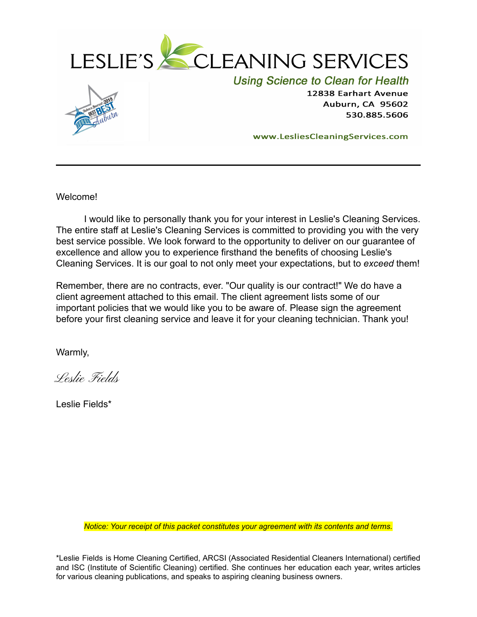



**Using Science to Clean for Health** 

12838 Earhart Avenue **Auburn, CA 95602** 530.885.5606

www.LesliesCleaningServices.com

Welcome!

I would like to personally thank you for your interest in Leslie's Cleaning Services. The entire staff at Leslie's Cleaning Services is committed to providing you with the very best service possible. We look forward to the opportunity to deliver on our guarantee of excellence and allow you to experience firsthand the benefits of choosing Leslie's Cleaning Services. It is our goal to not only meet your expectations, but to *exceed* them!

Remember, there are no contracts, ever. "Our quality is our contract!" We do have a client agreement attached to this email. The client agreement lists some of our important policies that we would like you to be aware of. Please sign the agreement before your first cleaning service and leave it for your cleaning technician. Thank you!

Warmly,

Leslie Fields

Leslie Fields\*

*Notice: Your receipt of this packet constitutes your agreement with its contents and terms.*

\*Leslie Fields is Home Cleaning Certified, ARCSI (Associated Residential Cleaners International) certified and ISC (Institute of Scientific Cleaning) certified. She continues her education each year, writes articles for various cleaning publications, and speaks to aspiring cleaning business owners.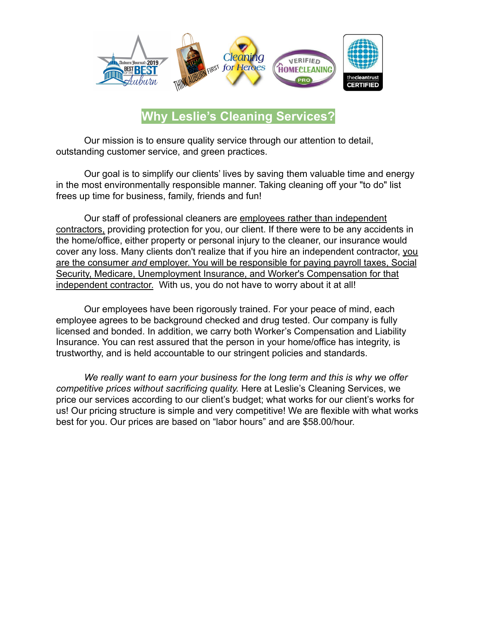

**Why Leslie's Cleaning Services?**

Our mission is to ensure quality service through our attention to detail, outstanding customer service, and green practices.

Our goal is to simplify our clients' lives by saving them valuable time and energy in the most environmentally responsible manner. Taking cleaning off your "to do" list frees up time for business, family, friends and fun!

Our staff of professional cleaners are employees rather than independent contractors, providing protection for you, our client. If there were to be any accidents in the home/office, either property or personal injury to the cleaner, our insurance would cover any loss. Many clients don't realize that if you hire an independent contractor, you are the consumer *and* employer. You will be responsible for paying payroll taxes, Social Security, Medicare, Unemployment Insurance, and Worker's Compensation for that independent contractor. With us, you do not have to worry about it at all!

Our employees have been rigorously trained. For your peace of mind, each employee agrees to be background checked and drug tested. Our company is fully licensed and bonded. In addition, we carry both Worker's Compensation and Liability Insurance. You can rest assured that the person in your home/office has integrity, is trustworthy, and is held accountable to our stringent policies and standards.

*We really want to earn your business for the long term and this is why we offer competitive prices without sacrificing quality.* Here at Leslie's Cleaning Services, we price our services according to our client's budget; what works for our client's works for us! Our pricing structure is simple and very competitive! We are flexible with what works best for you. Our prices are based on "labor hours" and are \$58.00/hour.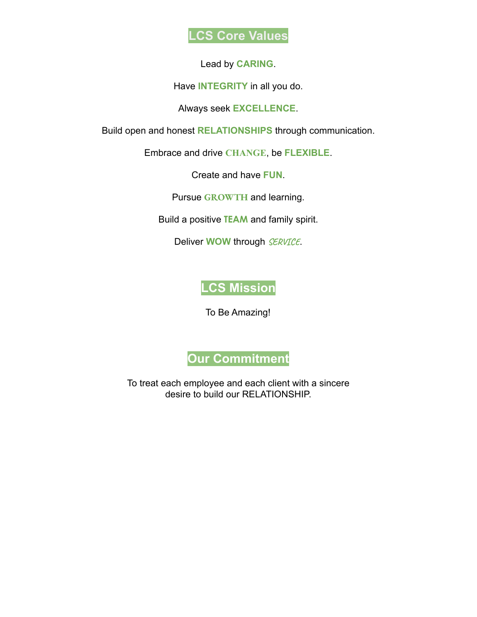

Lead by **CARING**.

Have **INTEGRITY** in all you do.

Always seek **EXCELLENCE**.

Build open and honest **RELATIONSHIPS** through communication.

Embrace and drive **CHANGE**, be **FLEXIBLE**.

Create and have **FUN**.

Pursue **GROWTH** and learning.

Build a positive **TEAM** and family spirit.

Deliver **WOW** through **SERVICE**.

## **LCS Mission**

To Be Amazing!

**Our Commitment**

To treat each employee and each client with a sincere desire to build our RELATIONSHIP.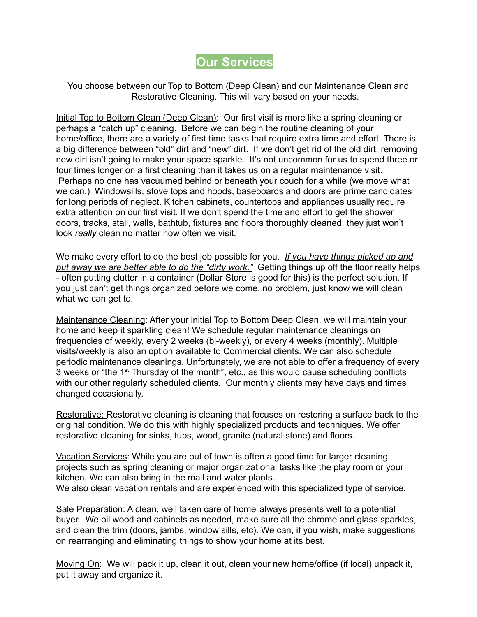## **Our Services**

You choose between our Top to Bottom (Deep Clean) and our Maintenance Clean and Restorative Cleaning. This will vary based on your needs.

Initial Top to Bottom Clean (Deep Clean): Our first visit is more like a spring cleaning or perhaps a "catch up" cleaning. Before we can begin the routine cleaning of your home/office, there are a variety of first time tasks that require extra time and effort. There is a big difference between "old" dirt and "new" dirt. If we don't get rid of the old dirt, removing new dirt isn't going to make your space sparkle. It's not uncommon for us to spend three or four times longer on a first cleaning than it takes us on a regular maintenance visit. Perhaps no one has vacuumed behind or beneath your couch for a while (we move what we can.) Windowsills, stove tops and hoods, baseboards and doors are prime candidates for long periods of neglect. Kitchen cabinets, countertops and appliances usually require extra attention on our first visit. If we don't spend the time and effort to get the shower doors, tracks, stall, walls, bathtub, fixtures and floors thoroughly cleaned, they just won't look *really* clean no matter how often we visit.

We make every effort to do the best job possible for you. *If you have things picked up and put away we are better able to do the "dirty work."* Getting things up off the floor really helps - often putting clutter in a container (Dollar Store is good for this) is the perfect solution. If you just can't get things organized before we come, no problem, just know we will clean what we can get to.

Maintenance Cleaning: After your initial Top to Bottom Deep Clean, we will maintain your home and keep it sparkling clean! We schedule regular maintenance cleanings on frequencies of weekly, every 2 weeks (bi-weekly), or every 4 weeks (monthly). Multiple visits/weekly is also an option available to Commercial clients. We can also schedule periodic maintenance cleanings. Unfortunately, we are not able to offer a frequency of every 3 weeks or "the 1<sup>st</sup> Thursday of the month", etc., as this would cause scheduling conflicts with our other regularly scheduled clients. Our monthly clients may have days and times changed occasionally.

Restorative: Restorative cleaning is cleaning that focuses on restoring a surface back to the original condition. We do this with highly specialized products and techniques. We offer restorative cleaning for sinks, tubs, wood, granite (natural stone) and floors.

Vacation Services: While you are out of town is often a good time for larger cleaning projects such as spring cleaning or major organizational tasks like the play room or your kitchen. We can also bring in the mail and water plants. We also clean vacation rentals and are experienced with this specialized type of service.

Sale Preparation: A clean, well taken care of home always presents well to a potential buyer. We oil wood and cabinets as needed, make sure all the chrome and glass sparkles, and clean the trim (doors, jambs, window sills, etc). We can, if you wish, make suggestions on rearranging and eliminating things to show your home at its best.

Moving On: We will pack it up, clean it out, clean your new home/office (if local) unpack it, put it away and organize it.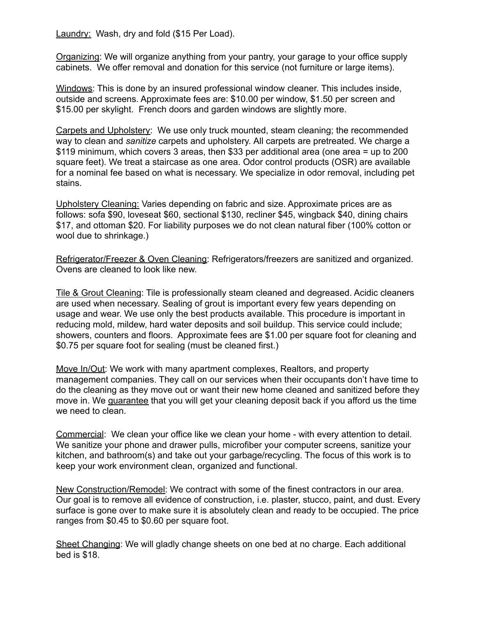Laundry: Wash, dry and fold (\$15 Per Load).

Organizing: We will organize anything from your pantry, your garage to your office supply cabinets. We offer removal and donation for this service (not furniture or large items).

Windows: This is done by an insured professional window cleaner. This includes inside, outside and screens. Approximate fees are: \$10.00 per window, \$1.50 per screen and \$15.00 per skylight. French doors and garden windows are slightly more.

Carpets and Upholstery: We use only truck mounted, steam cleaning; the recommended way to clean and *sanitize* carpets and upholstery. All carpets are pretreated. We charge a \$119 minimum, which covers 3 areas, then \$33 per additional area (one area = up to 200 square feet). We treat a staircase as one area. Odor control products (OSR) are available for a nominal fee based on what is necessary. We specialize in odor removal, including pet stains.

Upholstery Cleaning: Varies depending on fabric and size. Approximate prices are as follows: sofa \$90, loveseat \$60, sectional \$130, recliner \$45, wingback \$40, dining chairs \$17, and ottoman \$20. For liability purposes we do not clean natural fiber (100% cotton or wool due to shrinkage.)

Refrigerator/Freezer & Oven Cleaning: Refrigerators/freezers are sanitized and organized. Ovens are cleaned to look like new.

Tile & Grout Cleaning: Tile is professionally steam cleaned and degreased. Acidic cleaners are used when necessary. Sealing of grout is important every few years depending on usage and wear. We use only the best products available. This procedure is important in reducing mold, mildew, hard water deposits and soil buildup. This service could include; showers, counters and floors. Approximate fees are \$1.00 per square foot for cleaning and \$0.75 per square foot for sealing (must be cleaned first.)

Move In/Out: We work with many apartment complexes, Realtors, and property management companies. They call on our services when their occupants don't have time to do the cleaning as they move out or want their new home cleaned and sanitized before they move in. We guarantee that you will get your cleaning deposit back if you afford us the time we need to clean.

Commercial: We clean your office like we clean your home - with every attention to detail. We sanitize your phone and drawer pulls, microfiber your computer screens, sanitize your kitchen, and bathroom(s) and take out your garbage/recycling. The focus of this work is to keep your work environment clean, organized and functional.

New Construction/Remodel: We contract with some of the finest contractors in our area. Our goal is to remove all evidence of construction, i.e. plaster, stucco, paint, and dust. Every surface is gone over to make sure it is absolutely clean and ready to be occupied. The price ranges from \$0.45 to \$0.60 per square foot.

Sheet Changing: We will gladly change sheets on one bed at no charge. Each additional bed is \$18.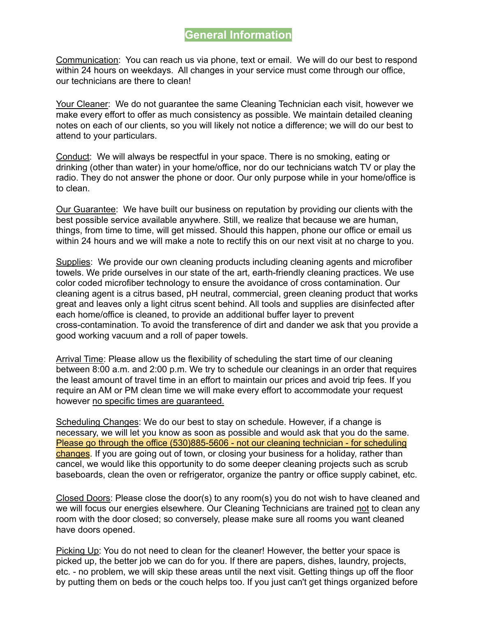### **General Information**

Communication: You can reach us via phone, text or email. We will do our best to respond within 24 hours on weekdays. All changes in your service must come through our office, our technicians are there to clean!

Your Cleaner: We do not guarantee the same Cleaning Technician each visit, however we make every effort to offer as much consistency as possible. We maintain detailed cleaning notes on each of our clients, so you will likely not notice a difference; we will do our best to attend to your particulars.

Conduct: We will always be respectful in your space. There is no smoking, eating or drinking (other than water) in your home/office, nor do our technicians watch TV or play the radio. They do not answer the phone or door. Our only purpose while in your home/office is to clean.

Our Guarantee: We have built our business on reputation by providing our clients with the best possible service available anywhere. Still, we realize that because we are human, things, from time to time, will get missed. Should this happen, phone our office or email us within 24 hours and we will make a note to rectify this on our next visit at no charge to you.

Supplies: We provide our own cleaning products including cleaning agents and microfiber towels. We pride ourselves in our state of the art, earth-friendly cleaning practices. We use color coded microfiber technology to ensure the avoidance of cross contamination. Our cleaning agent is a citrus based, pH neutral, commercial, green cleaning product that works great and leaves only a light citrus scent behind. All tools and supplies are disinfected after each home/office is cleaned, to provide an additional buffer layer to prevent cross-contamination. To avoid the transference of dirt and dander we ask that you provide a good working vacuum and a roll of paper towels.

Arrival Time: Please allow us the flexibility of scheduling the start time of our cleaning between 8:00 a.m. and 2:00 p.m. We try to schedule our cleanings in an order that requires the least amount of travel time in an effort to maintain our prices and avoid trip fees. If you require an AM or PM clean time we will make every effort to accommodate your request however no specific times are guaranteed.

Scheduling Changes: We do our best to stay on schedule. However, if a change is necessary, we will let you know as soon as possible and would ask that you do the same. Please go through the office (530)885-5606 - not our cleaning technician - for scheduling changes. If you are going out of town, or closing your business for a holiday, rather than cancel, we would like this opportunity to do some deeper cleaning projects such as scrub baseboards, clean the oven or refrigerator, organize the pantry or office supply cabinet, etc.

Closed Doors: Please close the door(s) to any room(s) you do not wish to have cleaned and we will focus our energies elsewhere. Our Cleaning Technicians are trained not to clean any room with the door closed; so conversely, please make sure all rooms you want cleaned have doors opened.

Picking Up: You do not need to clean for the cleaner! However, the better your space is picked up, the better job we can do for you. If there are papers, dishes, laundry, projects, etc. - no problem, we will skip these areas until the next visit. Getting things up off the floor by putting them on beds or the couch helps too. If you just can't get things organized before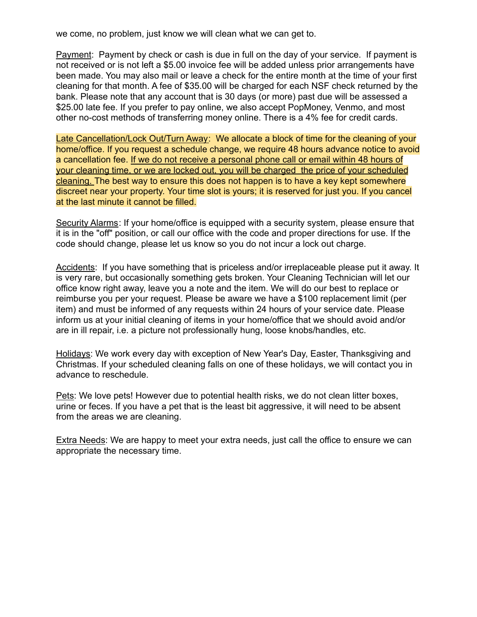we come, no problem, just know we will clean what we can get to.

Payment: Payment by check or cash is due in full on the day of your service. If payment is not received or is not left a \$5.00 invoice fee will be added unless prior arrangements have been made. You may also mail or leave a check for the entire month at the time of your first cleaning for that month. A fee of \$35.00 will be charged for each NSF check returned by the bank. Please note that any account that is 30 days (or more) past due will be assessed a \$25.00 late fee. If you prefer to pay online, we also accept PopMoney, Venmo, and most other no-cost methods of transferring money online. There is a 4% fee for credit cards.

Late Cancellation/Lock Out/Turn Away: We allocate a block of time for the cleaning of your home/office. If you request a schedule change, we require 48 hours advance notice to avoid a cancellation fee. If we do not receive a personal phone call or email within 48 hours of your cleaning time, or we are locked out, you will be charged the price of your scheduled cleaning. The best way to ensure this does not happen is to have a key kept somewhere discreet near your property. Your time slot is yours; it is reserved for just you. If you cancel at the last minute it cannot be filled.

Security Alarms: If your home/office is equipped with a security system, please ensure that it is in the "off" position, or call our office with the code and proper directions for use. If the code should change, please let us know so you do not incur a lock out charge.

Accidents: If you have something that is priceless and/or irreplaceable please put it away. It is very rare, but occasionally something gets broken. Your Cleaning Technician will let our office know right away, leave you a note and the item. We will do our best to replace or reimburse you per your request. Please be aware we have a \$100 replacement limit (per item) and must be informed of any requests within 24 hours of your service date. Please inform us at your initial cleaning of items in your home/office that we should avoid and/or are in ill repair, i.e. a picture not professionally hung, loose knobs/handles, etc.

Holidays: We work every day with exception of New Year's Day, Easter, Thanksgiving and Christmas. If your scheduled cleaning falls on one of these holidays, we will contact you in advance to reschedule.

Pets: We love pets! However due to potential health risks, we do not clean litter boxes, urine or feces. If you have a pet that is the least bit aggressive, it will need to be absent from the areas we are cleaning.

Extra Needs: We are happy to meet your extra needs, just call the office to ensure we can appropriate the necessary time.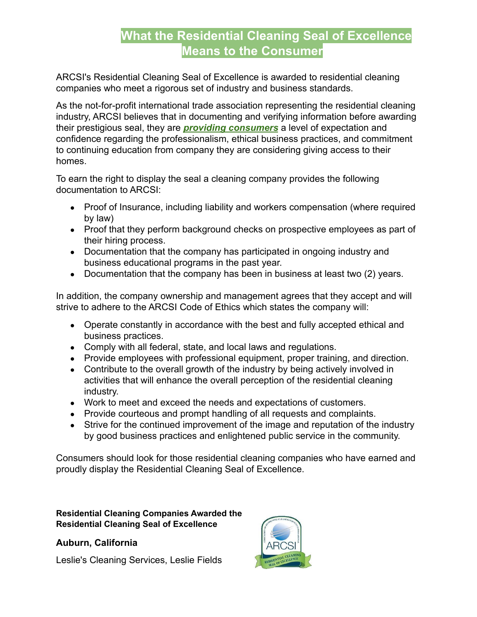# **What the Residential Cleaning Seal of Excellence Means to the Consumer**

ARCSI's Residential Cleaning Seal of Excellence is awarded to residential cleaning companies who meet a rigorous set of industry and business standards.

As the not-for-profit international trade association representing the residential cleaning industry, ARCSI believes that in documenting and verifying information before awarding their prestigious seal, they are *providing consumers* a level of expectation and confidence regarding the professionalism, ethical business practices, and commitment to continuing education from company they are considering giving access to their homes.

To earn the right to display the seal a cleaning company provides the following documentation to ARCSI:

- Proof of Insurance, including liability and workers compensation (where required by law)
- Proof that they perform background checks on prospective employees as part of their hiring process.
- Documentation that the company has participated in ongoing industry and business educational programs in the past year.
- Documentation that the company has been in business at least two (2) years.

In addition, the company ownership and management agrees that they accept and will strive to adhere to the ARCSI Code of Ethics which states the company will:

- Operate constantly in accordance with the best and fully accepted ethical and business practices.
- Comply with all federal, state, and local laws and regulations.
- Provide employees with professional equipment, proper training, and direction.
- Contribute to the overall growth of the industry by being actively involved in activities that will enhance the overall perception of the residential cleaning industry.
- Work to meet and exceed the needs and expectations of customers.
- Provide courteous and prompt handling of all requests and complaints.
- Strive for the continued improvement of the image and reputation of the industry by good business practices and enlightened public service in the community.

Consumers should look for those residential cleaning companies who have earned and proudly display the Residential Cleaning Seal of Excellence.

#### **Residential Cleaning Companies Awarded the Residential Cleaning Seal of Excellence**

### **Auburn, California**

Leslie's Cleaning Services, Leslie Fields